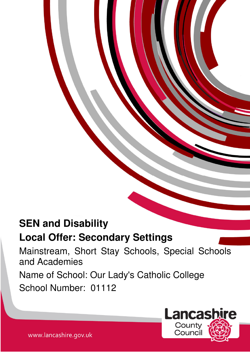# **SEN and Disability**

## **Local Offer: Secondary Settings**

Mainstream, Short Stay Schools, Special Schools and Academies Name of School: Our Lady's Catholic College School Number: 01112

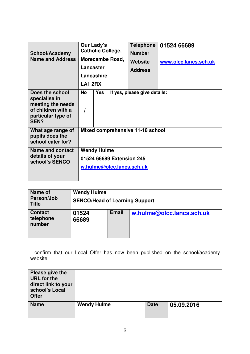| <b>School/Academy</b><br><b>Name and Address</b>                                                                 | Our Lady's<br><b>Catholic College,</b><br>Morecambe Road,<br>Lancaster<br>Lancashire<br><b>LA1 2RX</b> |     | <b>Telephone</b><br><b>Number</b><br>Website<br><b>Address</b> | 01524 66689<br>www.olcc.lancs.sch.uk |  |  |  |
|------------------------------------------------------------------------------------------------------------------|--------------------------------------------------------------------------------------------------------|-----|----------------------------------------------------------------|--------------------------------------|--|--|--|
| Does the school<br>specialise in<br>meeting the needs<br>of children with a<br>particular type of<br><b>SEN?</b> | No.                                                                                                    | Yes |                                                                | If yes, please give details:         |  |  |  |
| What age range of<br>pupils does the<br>school cater for?                                                        | Mixed comprehensive 11-18 school                                                                       |     |                                                                |                                      |  |  |  |
| Name and contact<br>details of your<br>school's SENCO                                                            | <b>Wendy Hulme</b><br>01524 66689 Extension 245<br>w.hulme@olcc.lancs.sch.uk                           |     |                                                                |                                      |  |  |  |

| Name of<br>Person/Job<br><b>Title</b> | <b>Wendy Hulme</b><br><b>SENCO/Head of Learning Support</b> |              |                           |  |  |
|---------------------------------------|-------------------------------------------------------------|--------------|---------------------------|--|--|
| <b>Contact</b><br>telephone<br>number | 01524<br>66689                                              | <b>Email</b> | w.hulme@olcc.lancs.sch.uk |  |  |

I confirm that our Local Offer has now been published on the school/academy website.

| Please give the<br><b>URL</b> for the<br>direct link to your<br>school's Local<br><b>Offer</b> |                    |             |            |
|------------------------------------------------------------------------------------------------|--------------------|-------------|------------|
| <b>Name</b>                                                                                    | <b>Wendy Hulme</b> | <b>Date</b> | 05.09.2016 |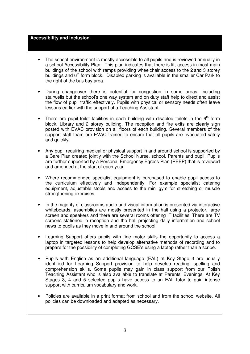#### **Accessibility and Inclusion**

- The school environment is mostly accessible to all pupils and is reviewed annually in a school Accessibility Plan. This plan indicates that there is lift access in most main buildings of the school with ramps providing wheelchair access to the 2 and 3-storey buildings and  $6<sup>th</sup>$  form block. Disabled parking is available in the smaller Car Park to the right of the bus bay area.
- During changeover there is potential for congestion in some areas, including stairwells but the school's one way system and on duty staff help to direct and assist the flow of pupil traffic effectively. Pupils with physical or sensory needs often leave lessons earlier with the support of a Teaching Assistant.
- There are pupil toilet facilities in each building with disabled toilets in the  $6<sup>th</sup>$  form block, Library and 2 storey building. The reception and fire exits are clearly sign posted with EVAC provision on all floors of each building. Several members of the support staff team are EVAC trained to ensure that all pupils are evacuated safely and quickly.
- Any pupil requiring medical or physical support in and around school is supported by a Care Plan created jointly with the School Nurse, school, Parents and pupil. Pupils are further supported by a Personal Emergency Egress Plan (PEEP) that is reviewed and amended at the start of each year.
- Where recommended specialist equipment is purchased to enable pupil access to the curriculum effectively and independently. For example specialist catering equipment, adjustable stools and access to the mini gym for stretching or muscle strengthening exercises.
- In the majority of classrooms audio and visual information is presented via interactive whiteboards, assemblies are mostly presented in the hall using a projector, large screen and speakers and there are several rooms offering IT facilities. There are TV screens stationed in reception and the hall projecting daily information and school news to pupils as they move in and around the school.
- Learning Support offers pupils with fine motor skills the opportunity to access a laptop in targeted lessons to help develop alternative methods of recording and to prepare for the possibility of completing GCSE's using a laptop rather than a scribe.
- Pupils with English as an additional language (EAL) at Key Stage 3 are usually identified for Learning Support provision to help develop reading, spelling and comprehension skills. Some pupils may gain in class support from our Polish Teaching Assistant who is also available to translate at Parents' Evenings. At Key Stages 3, 4 and 5 selected pupils have access to an EAL tutor to gain intense support with curriculum vocabulary and work.
- Policies are available in a print format from school and from the school website. All policies can be downloaded and adapted as necessary.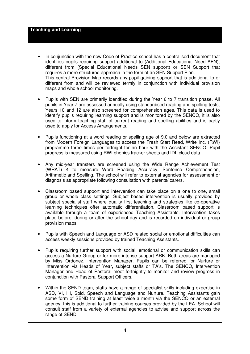#### **Teaching and Learning**

- In conjunction with the new Code of Practice school has a centralised document that identifies pupils requiring support additional to (Additional Educational Need AEN), different from (Special Educational Needs SEN support) or SEN Support that requires a more structured approach in the form of an SEN Support Plan. This central Provision Map records any pupil gaining support that is additional to or different from and will be reviewed termly in conjunction with individual provision maps and whole school monitoring.
- Pupils with SEN are primarily identified during the Year 6 to 7 transition phase. All pupils in Year 7 are assessed annually using standardised reading and spelling tests, Years 10 and 12 are also screened for comprehension ages. This data is used to identify pupils requiring learning support and is monitored by the SENCO, it is also used to inform teaching staff of current reading and spelling abilities and is partly used to apply for Access Arrangements.
- Pupils functioning at a word reading or spelling age of 9.0 and below are extracted from Modern Foreign Languages to access the Fresh Start Read, Write Inc. (RWI) programme three times per fortnight for an hour with the Assistant SENCO. Pupil progress is measured using RWI phonics tracker sheets and IDL cloud data.
- Any mid-year transfers are screened using the Wide Range Achievement Test (WRAT) 4 to measure Word Reading Accuracy, Sentence Comprehension, Arithmetic and Spelling. The school will refer to external agencies for assessment or diagnosis as appropriate following consultation with parents/ carers.
- Classroom based support and intervention can take place on a one to one, small group or whole class settings. Subject based intervention is usually provided by subject specialist staff where quality first teaching and strategies like co-operative learning techniques offer automatic differentiation. Classroom based support is available through a team of experienced Teaching Assistants. Intervention takes place before, during or after the school day and is recorded on individual or group provision maps.
- Pupils with Speech and Language or ASD related social or emotional difficulties can access weekly sessions provided by trained Teaching Assistants.
- Pupils requiring further support with social, emotional or communication skills can access a Nurture Group or for more intense support ARK. Both areas are managed by Miss Ordonez, Intervention Manager. Pupils can be referred for Nurture or Intervention via Heads of Year, subject staffs or TA's. The SENCO, Intervention Manager and Head of Pastoral meet fortnightly to monitor and review progress in conjunction with Pastoral Support Officers.
- Within the SEND team, staffs have a range of specialist skills including expertise in ASD, VI, HI, Spld, Speech and Language and Nurture. Teaching Assistants gain some form of SEND training at least twice a month via the SENCO or an external agency, this is additional to further training courses provided by the LEA. School will consult staff from a variety of external agencies to advise and support across the range of SEND.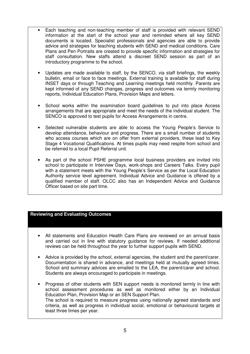- Each teaching and non-teaching member of staff is provided with relevant SEND information at the start of the school year and reminded where all key SEND documents is located. Specialist professionals and agencies are able to provide advice and strategies for teaching students with SEND and medical conditions. Care Plans and Pen Portraits are created to provide specific information and strategies for staff consultation. New staffs attend a discreet SEND session as part of an introductory programme to the school.
- Updates are made available to staff, by the SENCO, via staff briefings, the weekly bulletin, email or face to face meetings. External training is available for staff during INSET days or through Teaching and Learning meetings held monthly. Parents are kept informed of any SEND changes, progress and outcomes via termly monitoring reports, Individual Education Plans, Provision Maps and letters.
- School works within the examination board guidelines to put into place Access arrangements that are appropriate and meet the needs of the individual student. The SENCO is approved to test pupils for Access Arrangements in centre.
- Selected vulnerable students are able to access the Young People's Service to develop attendance, behaviour and progress. There are a small number of students who access courses which are on offer from external providers, these lead to Key Stage 4 Vocational Qualifications. At times pupils may need respite from school and be referred to a local Pupil Referral unit.
- As part of the school PSHE programme local business providers are invited into school to participate in Interview Days, work-shops and Careers Talks. Every pupil with a statement meets with the Young People's Service as per the Local Education Authority service level agreement. Individual Advice and Guidance is offered by a qualified member of staff. OLCC also has an Independent Advice and Guidance Officer based on site part time.

## **Reviewing and Evaluating Outcomes**

- All statements and Education Health Care Plans are reviewed on an annual basis and carried out in line with statutory guidance for reviews. If needed additional reviews can be held throughout the year to further support pupils with SEND.
- Advice is provided by the school, external agencies, the student and the parent/carer. Documentation is shared in advance, and meetings held at mutually agreed times. School and summary advices are emailed to the LEA, the parent/carer and school. Students are always encouraged to participate in meetings.
- Progress of other students with SEN support needs is monitored termly in line with school assessment procedures as well as monitored either by an Individual Education Plan, Provision Map or an SEN Support Plan. The school is required to measure progress using nationally agreed standards and criteria, as well as progress in individual social, emotional or behavioural targets at least three times per year.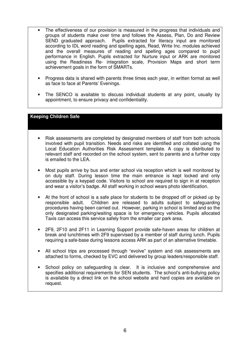- The effectiveness of our provision is measured in the progress that individuals and groups of students make over time and follows the Assess, Plan, Do and Review SEND graduated approach. Pupils extracted for literacy input are monitored according to IDL word reading and spelling ages, Read, Write Inc. modules achieved and the overall measures of reading and spelling ages compared to pupil performance in English. Pupils extracted for Nurture input or ARK are monitored using the Readiness Re- integration scale, Provision Maps and short term achievement goals in the form of SMARTs.
- Progress data is shared with parents three times each year, in written format as well as face to face at Parents' Evenings.
- The SENCO is available to discuss individual students at any point, usually by appointment, to ensure privacy and confidentiality.

#### **Keeping Children Safe**

- Risk assessments are completed by designated members of staff from both schools involved with pupil transition. Needs and risks are identified and collated using the Local Education Authorities Risk Assessment template. A copy is distributed to relevant staff and recorded on the school system, sent to parents and a further copy is emailed to the LEA.
- Most pupils arrive by bus and enter school via reception which is well monitored by on duty staff. During lesson time the main entrance is kept locked and only accessible by a keypad code. Visitors to school are required to sign in at reception and wear a visitor's badge. All staff working in school wears photo identification.
- At the front of school is a safe place for students to be dropped off or picked up by responsible adult. Children are released to adults subject to safeguarding procedures having been carried out. However, parking in school is limited and so the only designated parking/waiting space is for emergency vehicles. Pupils allocated Taxis can access this service safely from the smaller car park area.
- 2F9, 2F10 and 2F11 in Learning Support provide safe-haven areas for children at break and lunchtimes with 2F9 supervised by a member of staff during lunch. Pupils requiring a safe-base during lessons access ARK as part of an alternative timetable.
- All school trips are processed through "evolve" system and risk assessments are attached to forms, checked by EVC and delivered by group leaders/responsible staff.
- School policy on safeguarding is clear. It is inclusive and comprehensive and specifies additional requirements for SEN students. The school's anti-bullying policy is available by a direct link on the school website and hard copies are available on request.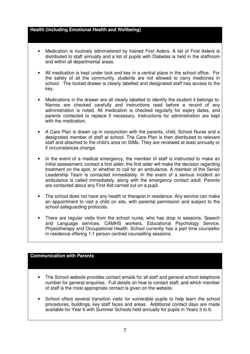#### **Health (including Emotional Health and Wellbeing)**

- Medication is routinely administered by trained First Aiders. A list of First Aiders is distributed to staff annually and a list of pupils with Diabetes is held in the staffroom and within all departmental areas.
- All medication is kept under lock and key in a central place in the school office. For the safety of all the community, students are not allowed to carry medicines in school. The locked drawer is clearly labelled and designated staff has access to the key.
- Medications in the drawer are all clearly labelled to identify the student it belongs to. Names are checked carefully and instructions read before a record of any administration is noted. All medication is checked regularly for expiry dates, and parents contacted to replace if necessary. Instructions for administration are kept with the medication.
- A Care Plan is drawn up in conjunction with the parents, child, School Nurse and a designated member of staff at school. The Care Plan is then distributed to relevant staff and attached to the child's area on SIMs. They are reviewed at least annually or if circumstances change.
- In the event of a medical emergency, the member of staff is instructed to make an initial assessment; contact a first aider, the first aider will make the decision regarding treatment on the spot, or whether to call for an ambulance. A member of the Senior Leadership Team is contacted immediately. In the event of a serious incident an ambulance is called immediately, along with the emergency contact adult. Parents are contacted about any First Aid carried out on a pupil.
- The school does not have any health or therapist in residence. Any service can make an appointment to visit a child on site, with parental permission and subject to the school safeguarding protocols.
- There are regular visits from the school nurse, who has drop in sessions, Speech and Language services, CAMHS workers, Educational Psychology Service, Physiotherapy and Occupational Health. School currently has a part time counsellor in residence offering 1:1 person centred counselling sessions.

## **Communication with Parents**

- The School website provides contact emails for all staff and general school telephone number for general enquiries. Full details on how to contact staff, and which member of staff is the most appropriate contact is given on the website.
- School offers several transition visits for vulnerable pupils to help learn the school procedures, buildings, key staff faces and areas. Additional contact days are made available for Year 6 with Summer Schools held annually for pupils in Years 3 to 6.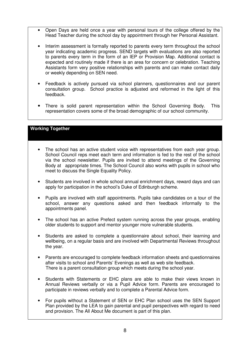- Open Days are held once a year with personal tours of the college offered by the Head Teacher during the school day by appointment through her Personal Assistant.
- Interim assessment is formally reported to parents every term throughout the school year indicating academic progress. SEND targets with evaluations are also reported to parents every term in the form of an IEP or Provision Map. Additional contact is expected and routinely made if there is an area for concern or celebration. Teaching Assistants form very positive relationships with parents and can make contact daily or weekly depending on SEN need.
- Feedback is actively pursued via school planners, questionnaires and our parent consultation group. School practice is adjusted and reformed in the light of this feedback.
- There is solid parent representation within the School Governing Body. This representation covers some of the broad demographic of our school community.

## **Working Together**

- The school has an active student voice with representatives from each year group. School Council reps meet each term and information is fed to the rest of the school via the school newsletter. Pupils are invited to attend meetings of the Governing Body at appropriate times. The School Council also works with pupils in school who meet to discuss the Single Equality Policy.
- Students are involved in whole school annual enrichment days, reward days and can apply for participation in the school's Duke of Edinburgh scheme.
- Pupils are involved with staff appointments. Pupils take candidates on a tour of the school, answer any questions asked and then feedback informally to the appointments panel.
- The school has an active Prefect system running across the year groups, enabling older students to support and mentor younger more vulnerable students.
- Students are asked to complete a questionnaire about school, their learning and wellbeing, on a regular basis and are involved with Departmental Reviews throughout the year.
- Parents are encouraged to complete feedback information sheets and questionnaires after visits to school and Parents' Evenings as well as web site feedback. There is a parent consultation group which meets during the school year.
- Students with Statements or EHC plans are able to make their views known in Annual Reviews verbally or via a Pupil Advice form. Parents are encouraged to participate in reviews verbally and to complete a Parental Advice form.
- For pupils without a Statement of SEN or EHC Plan school uses the SEN Support Plan provided by the LEA to gain parental and pupil perspectives with regard to need and provision. The All About Me document is part of this plan.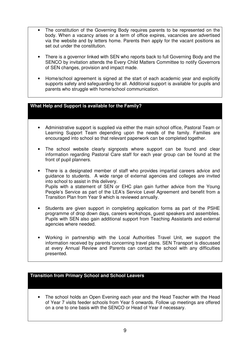- The constitution of the Governing Body requires parents to be represented on the body. When a vacancy arises or a term of office expires, vacancies are advertised via the website and by letters home. Parents then apply for the vacant positions as set out under the constitution.
- There is a governor linked with SEN who reports back to full Governing Body and the SENCO by invitation attends the Every Child Matters Committee to notify Governors of SEN changes, provision and impact made.
- Home/school agreement is signed at the start of each academic year and explicitly supports safety and safeguarding for all. Additional support is available for pupils and parents who struggle with home/school communication.

## **What Help and Support is available for the Family?**

- Administrative support is supplied via either the main school office, Pastoral Team or Learning Support Team depending upon the needs of the family. Families are encouraged into school so that relevant paperwork can be completed together.
- The school website clearly signposts where support can be found and clear information regarding Pastoral Care staff for each year group can be found at the front of pupil planners.
- There is a designated member of staff who provides impartial careers advice and guidance to students. A wide range of external agencies and colleges are invited into school to assist in this delivery. Pupils with a statement of SEN or EHC plan gain further advice from the Young People's Service as part of the LEA's Service Level Agreement and benefit from a Transition Plan from Year 9 which is reviewed annually.
- Students are given support in completing application forms as part of the PSHE programme of drop down days, careers workshops, guest speakers and assemblies. Pupils with SEN also gain additional support from Teaching Assistants and external agencies where needed.
- Working in partnership with the Local Authorities Travel Unit, we support the information received by parents concerning travel plans. SEN Transport is discussed at every Annual Review and Parents can contact the school with any difficulties presented.

#### **Transition from Primary School and School Leavers**

• The school holds an Open Evening each year and the Head Teacher with the Head of Year 7 visits feeder schools from Year 5 onwards. Follow up meetings are offered on a one to one basis with the SENCO or Head of Year if necessary.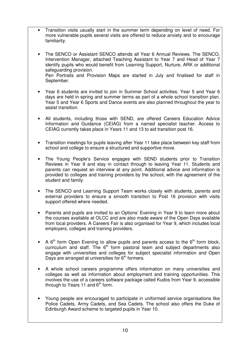- Transition visits usually start in the summer term depending on level of need. For more vulnerable pupils several visits are offered to reduce anxiety and to encourage familiarity.
- The SENCO or Assistant SENCO attends all Year 6 Annual Reviews. The SENCO, Intervention Manager, attached Teaching Assistant to Year 7 and Head of Year 7 identify pupils who would benefit from Learning Support, Nurture, ARK or additional safeguarding provision. Pen Portraits and Provision Maps are started in July and finalised for staff in September.
- Year 6 students are invited to join in Summer School activities. Year 5 and Year 6 days are held in spring and summer terms as part of a whole school transition plan. Year 5 and Year 6 Sports and Dance events are also planned throughout the year to assist transition.
- All students, including those with SEND, are offered Careers Education Advice Information and Guidance (CEIAG) from a named specialist teacher. Access to CEIAG currently takes place in Years 11 and 13 to aid transition post 16.
- Transition meetings for pupils leaving after Year 11 take place between key staff from school and college to ensure a structured and supportive move.
- The Young People's Service engages with SEND students prior to Transition Reviews in Year 9 and stay in contact through to leaving Year 11. Students and parents can request an interview at any point. Additional advice and information is provided to colleges and training providers by the school, with the agreement of the student and family.
- The SENCO and Learning Support Team works closely with students, parents and external providers to ensure a smooth transition to Post 16 provision with visits support offered where needed.
- Parents and pupils are invited to an Options' Evening in Year 9 to learn more about the courses available at OLCC and are also made aware of the Open Days available from local providers. A Careers Fair is also organised for Year 9, which includes local employers, colleges and training providers.
- A  $6<sup>th</sup>$  form Open Evening to allow pupils and parents access to the  $6<sup>th</sup>$  form block, curriculum and staff. The  $6<sup>th</sup>$  form pastoral team and subject departments also engage with universities and colleges for subject specialist information and Open Days are arranged at universities for  $6<sup>th</sup>$  formers.
- A whole school careers programme offers information on many universities and colleges as well as information about employment and training opportunities. This involves the use of a careers software package called Kudos from Year 9, accessible through to Years 11 and  $6<sup>th</sup>$  form.
- Young people are encouraged to participate in uniformed service organisations like Police Cadets, Army Cadets, and Sea Cadets. The school also offers the Duke of Edinburgh Award scheme to targeted pupils in Year 10.